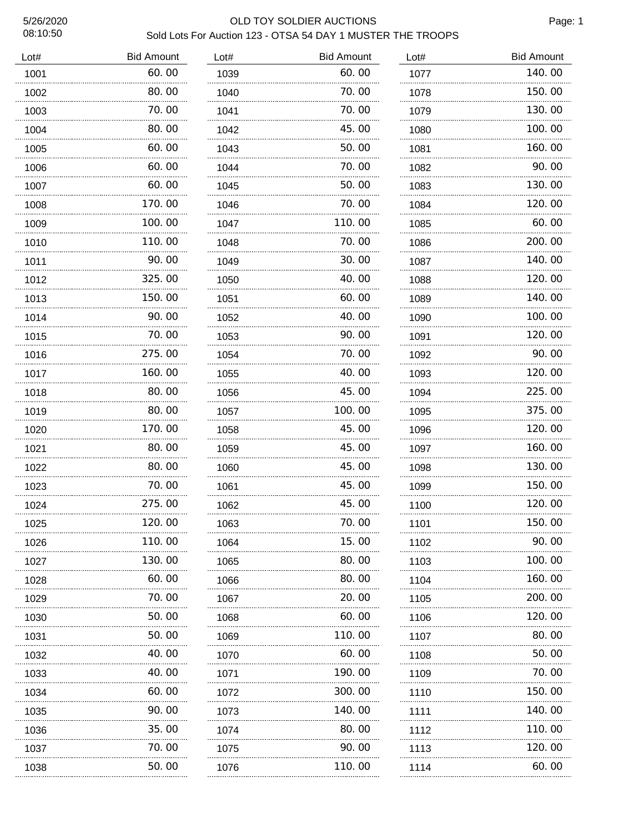# 5/26/2020 OLD TOY SOLDIER AUCTIONS Sold Lots For Auction 123 - OTSA 54 DAY 1 MUSTER THE TROOPS

| Lot# | <b>Bid Amount</b> | Lot# | <b>Bid Amount</b> | Lot# | <b>Bid Amount</b> |
|------|-------------------|------|-------------------|------|-------------------|
| 1001 | 60.00             | 1039 | 60.00             | 1077 | 140.00            |
| 1002 | 80.00             | 1040 | 70.00             | 1078 | 150.00            |
| 1003 | 70.00             | 1041 | 70.00             | 1079 | 130.00            |
| 1004 | 80.00             | 1042 | 45.00             | 1080 | 100.00            |
| 1005 | 60.00             | 1043 | 50.00             | 1081 | 160.00            |
| 1006 | 60.00             | 1044 | 70.00             | 1082 | 90.00             |
| 1007 | 60.00             | 1045 | 50.00             | 1083 | 130.00            |
| 1008 | 170.00            | 1046 | 70.00             | 1084 | 120.00            |
| 1009 | 100.00            | 1047 | 110.00            | 1085 | 60.00             |
| 1010 | 110.00            | 1048 | 70.00             | 1086 | 200.00            |
| 1011 | 90.00             | 1049 | 30.00             | 1087 | 140.00            |
| 1012 | 325.00            | 1050 | 40.00             | 1088 | 120.00            |
| 1013 | 150.00            | 1051 | 60.00             | 1089 | 140.00            |
| 1014 | 90.00             | 1052 | 40.00             | 1090 | 100.00            |
| 1015 | 70.00             | 1053 | 90.00             | 1091 | 120.00            |
| 1016 | 275.00            | 1054 | 70.00             | 1092 | 90.00             |
| 1017 | 160.00            | 1055 | 40.00             | 1093 | 120.00            |
| 1018 | 80.00             | 1056 | 45.00             | 1094 | 225.00            |
| 1019 | 80.00             | 1057 | 100.00            | 1095 | 375.00            |
| 1020 | 170.00            | 1058 | 45.00             | 1096 | 120.00            |
| 1021 | 80.00             | 1059 | 45.00             | 1097 | 160.00            |
| 1022 | 80.00             | 1060 | 45.00             | 1098 | 130.00            |
| 1023 | 70.00             | 1061 | 45.00             | 1099 | 150.00            |
| 1024 | 275.00            | 1062 | 45.00             | 1100 | 120.00            |
| 1025 | 120.00            | 1063 | 70.00             | 1101 | 150.00            |
| 1026 | 110. 00           | 1064 | 15. 00            | 1102 | 90. OO            |
| 1027 | 130. 00           | 1065 | 80.00             | 1103 | 100. 00           |
| 1028 | 60.00             | 1066 | 80.00             | 1104 | 160. 00           |
| 1029 | 70. 00            | 1067 | 20. 00            | 1105 | 200.00            |
| 1030 | 50.00             | 1068 | 60.00             | 1106 | 120. 00           |
| 1031 | 50.00             | 1069 | 110.00            | 1107 | 80.00             |
| 1032 | 40.00             | 1070 | 60.00             | 1108 | 50. 00            |
| 1033 | 40.00             | 1071 | 190. 00           | 1109 | 70.00             |
| 1034 | 60.00             | 1072 | 300.00            | 1110 | 150. 00           |
| 1035 | 90. 00            | 1073 | 140. 00           | 1111 | 140.00            |
| 1036 | 35.00             | 1074 | 80.00             | 1112 | 110.00            |
| 1037 | 70.00             | 1075 | 90.00             | 1113 | 120. 00           |
| 1038 | 50.00             | 1076 | 110.00            | 1114 | 60.00             |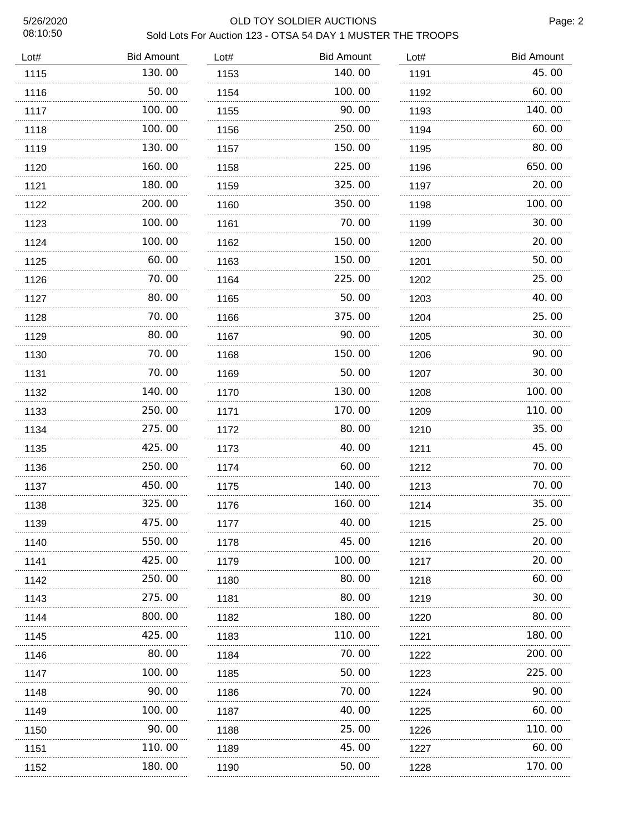# 5/26/2020 OLD TOY SOLDIER AUCTIONS Sold Lots For Auction 123 - OTSA 54 DAY 1 MUSTER THE TROOPS

| Lot# | <b>Bid Amount</b> | Lot# | <b>Bid Amount</b> | Lot#      | <b>Bid Amount</b> |
|------|-------------------|------|-------------------|-----------|-------------------|
| 1115 | 130.00            | 1153 | 140.00            | 1191      | 45.00             |
| 1116 | 50.00             | 1154 | 100.00            | 1192      | 60.00             |
| 1117 | 100.00            | 1155 | 90.00             | 1193      | 140.00            |
| 1118 | 100.00            | 1156 | 250.00            | 1194      | 60.00             |
| 1119 | 130.00            | 1157 | 150.00            | 1195      | 80.00             |
| 1120 | 160.00            | 1158 | 225.00            | 1196      | 650.00            |
| 1121 | 180.00<br>.       | 1159 | 325.00            | 1197      | 20.00             |
| 1122 | 200, 00           | 1160 | 350.00            | 1198      | 100.00            |
| 1123 | 100.00            | 1161 | 70.00             | 1199      | 30.00             |
| 1124 | 100.00            | 1162 | 150.00            | 1200      | 20.00             |
| 1125 | 60.00             | 1163 | 150.00            | 1201      | 50.00             |
| 1126 | 70.00             | 1164 | 225.00            | 1202      | 25.00             |
| 1127 | 80.00             | 1165 | 50.00             | 1203      | 40.00             |
| 1128 | 70.00             | 1166 | 375.00            | 1204      | 25.00             |
| 1129 | 80.00             | 1167 | 90.00             | 1205      | 30.00             |
| 1130 | 70.00             | 1168 | 150.00            | 1206      | 90.00             |
| 1131 | 70.00             | 1169 | 50.00             | 1207      | 30.00             |
| 1132 | 140.00            | 1170 | 130.00            | 1208      | 100.00            |
| 1133 | 250.00            | 1171 | 170.00            | 1209      | 110.00            |
| 1134 | 275.00            | 1172 | 80.00             | 1210      | 35.00             |
| 1135 | 425.00            | 1173 | 40.00             | 1211<br>. | 45.00             |
| 1136 | 250.00            | 1174 | 60.00             | 1212      | 70.00             |
| 1137 | 450.00            | 1175 | 140.00            | 1213      | 70.00             |
| 1138 | 325.00            | 1176 | 160.00            | 1214      | 35.00             |
| 1139 | 475.00            | 1177 | 40.00             | 1215      | 25.00             |
| 1140 | 550.00            | 1178 | 45.00             | 1216      | 20.00             |
| 1141 | 425.00            | 1179 | 100. 00           | 1217      | 20.00             |
| 1142 | 250.00            | 1180 | 80.00             | 1218      | 60.00             |
| 1143 | 275.00            | 1181 | 80.00             | 1219      | 30.00             |
| 1144 | 800.00            | 1182 | 180. 00           | 1220      | 80.00             |
| 1145 | 425.00            | 1183 | 110.00            | 1221      | 180. 00           |
| 1146 | 80.00             | 1184 | 70.00             | 1222      | 200.00            |
| 1147 | 100.00            | 1185 | 50.00             | 1223      | 225.00            |
| 1148 | .<br>90.00        | 1186 | 70.00             | 1224      | 90.00             |
| 1149 | 100.00            | 1187 | 40.00             | 1225      | 60.00             |
| 1150 | 90.00             | 1188 | 25.00             | 1226      | 110.00            |
| 1151 | 110.00            | 1189 | 45.00             | 1227      | 60.00             |
| 1152 | .<br>180.00       | 1190 | .<br>50.00        | 1228      | 170.00            |
|      |                   |      |                   |           |                   |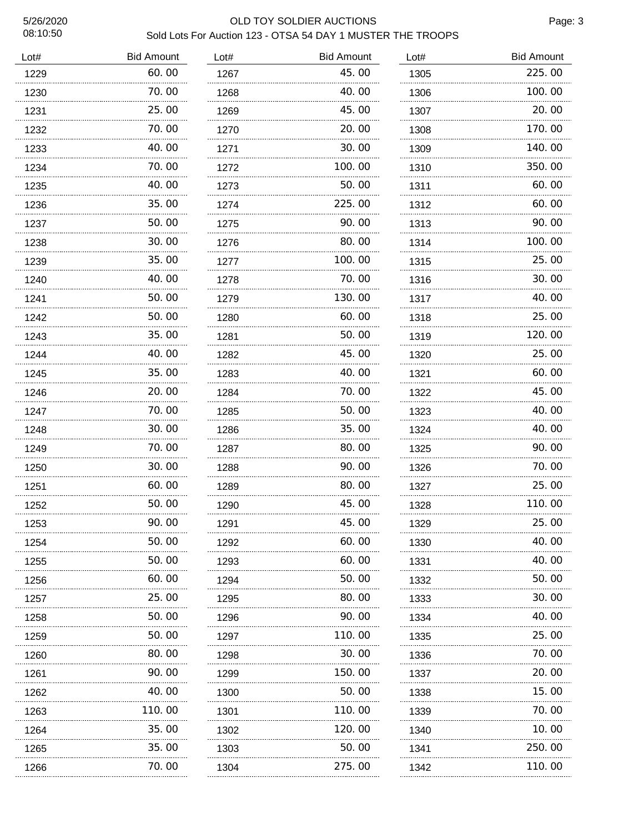# 5/26/2020 OLD TOY SOLDIER AUCTIONS Sold Lots For Auction 123 - OTSA 54 DAY 1 MUSTER THE TROOPS

| Lot# | <b>Bid Amount</b> | Lot# | <b>Bid Amount</b> | Lot# | <b>Bid Amount</b> |
|------|-------------------|------|-------------------|------|-------------------|
| 1229 | 60.00             | 1267 | 45.00             | 1305 | 225.00            |
| 1230 | 70.00             | 1268 | 40.00             | 1306 | 100.00            |
| 1231 | 25.00             | 1269 | 45.00             | 1307 | 20.00             |
| 1232 | 70.00             | 1270 | 20.00             | 1308 | 170.00            |
| 1233 | 40.00             | 1271 | 30.00             | 1309 | 140.00            |
| 1234 | 70. 00            | 1272 | 100. 00           | 1310 | 350. 00           |
| 1235 | 40.00             | 1273 | 50.00             | 1311 | 60.00             |
| 1236 | 35.00             | 1274 | 225.00            | 1312 | 60.00             |
| 1237 | 50.00             | 1275 | 90. 00            | 1313 | 90. 00            |
| 1238 | 30.00             | 1276 | 80. 00            | 1314 | 100.00            |
| 1239 | 35.00             | 1277 | 100. 00           | 1315 | 25.00             |
| 1240 | 40.00             | 1278 | 70.00             | 1316 | 30.00             |
| 1241 | 50.00             | 1279 | 130.00            | 1317 | 40.00             |
| 1242 | 50.00             | 1280 | 60. 00            | 1318 | 25.00             |
| 1243 | 35.00             | 1281 | 50.00             | 1319 | 120.00            |
| 1244 | 40.00             | 1282 | 45.00             | 1320 | 25.00             |
| 1245 | 35.00             | 1283 | 40. 00            | 1321 | 60.00             |
| 1246 | 20.00             | 1284 | 70. 00            | 1322 | 45.00             |
| 1247 | 70.00             | 1285 | 50.00             | 1323 | 40.00             |
| 1248 | 30.00             | 1286 | 35.00             | 1324 | 40.00             |
| 1249 | 70.00             | 1287 | 80.00             | 1325 | 90.00             |
| 1250 | 30. 00            | 1288 | 90. OO            | 1326 | 70.00             |
| 1251 | 60.00             | 1289 | 80.00             | 1327 | 25.00             |
| 1252 | 50.00             | 1290 | 45.00             | 1328 | 110.00            |
| 1253 | 90.00             | 1291 | 45.00             | 1329 | 25.00             |
| 1254 | 50. 00            | 1292 | 60.00             | 1330 | 40.00             |
| 1255 | 50.00             | 1293 | 60.00             | 1331 | 40.00             |
| 1256 | 60.00             | 1294 | 50.00             | 1332 | 50.00             |
| 1257 | 25.00             | 1295 | 80.00             | 1333 | 30.00             |
| 1258 | 50.00             | 1296 | 90.00             | 1334 | 40.00             |
| 1259 | 50.00             | 1297 | 110.00            | 1335 | 25.00             |
| 1260 | 80.00             | 1298 | 30.00             | 1336 | 70.00             |
| 1261 | 90.00             | 1299 | 150.00            | 1337 | 20.00             |
| 1262 | 40. OO            | 1300 | 50.00             | 1338 | 15.00             |
| 1263 | 110. 00           | 1301 | 110. 00           | 1339 | 70.00             |
| 1264 | 35.00             | 1302 | 120. 00           | 1340 | 10.00             |
| 1265 | 35.00             | 1303 | 50.00             | 1341 | 250.00            |
| 1266 | 70.00             | 1304 | 275.00            | 1342 | 110.00            |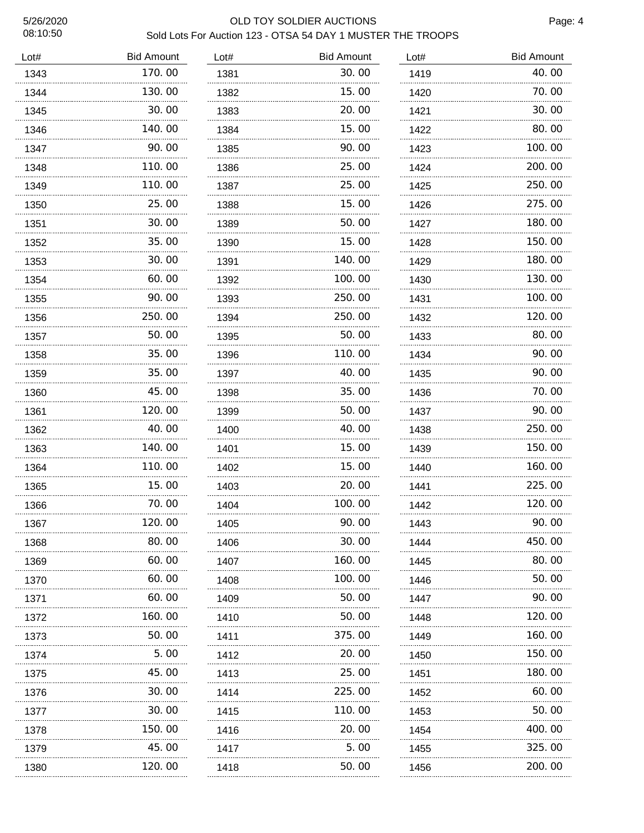# 5/26/2020 OLD TOY SOLDIER AUCTIONS Sold Lots For Auction 123 - OTSA 54 DAY 1 MUSTER THE TROOPS

| Lot# | <b>Bid Amount</b> | Lot# | <b>Bid Amount</b> | Lot# | <b>Bid Amount</b> |
|------|-------------------|------|-------------------|------|-------------------|
| 1343 | 170.00            | 1381 | 30.00             | 1419 | 40.00             |
| 1344 | 130.00            | 1382 | 15.00             | 1420 | 70.00             |
| 1345 | 30.00             | 1383 | 20.00             | 1421 | 30.00             |
| 1346 | 140.00            | 1384 | 15.00             | 1422 | 80.00             |
| 1347 | 90.00             | 1385 | 90.00             | 1423 | 100.00            |
| 1348 | 110.00            | 1386 | 25.00             | 1424 | 200.00            |
| 1349 | 110.00            | 1387 | 25.00             | 1425 | 250.00            |
| 1350 | 25.00             | 1388 | 15.00             | 1426 | 275.00            |
| 1351 | 30.00             | 1389 | 50.00             | 1427 | 180.00            |
| 1352 | 35.00             | 1390 | 15.00             | 1428 | 150.00            |
| 1353 | 30.00             | 1391 | 140.00            | 1429 | 180.00            |
| 1354 | 60.00             | 1392 | 100.00            | 1430 | 130.00            |
| 1355 | 90.00             | 1393 | 250.00            | 1431 | 100.00            |
| 1356 | 250.00            | 1394 | 250.00            | 1432 | 120, 00           |
| 1357 | 50.00             | 1395 | 50.00             | 1433 | 80.00             |
| 1358 | 35.00             | 1396 | 110.00            | 1434 | 90.00             |
| 1359 | 35.00             | 1397 | 40.00             | 1435 | 90.00             |
| 1360 | 45.00             | 1398 | 35.00             | 1436 | 70.00             |
| 1361 | 120.00            | 1399 | 50.00             | 1437 | 90.00             |
| 1362 | 40.00             | 1400 | 40.00             | 1438 | 250.00            |
| 1363 | 140.00            | 1401 | 15.00             | 1439 | 150.00            |
| 1364 | 110.00            | 1402 | 15.00             | 1440 | 160.00            |
| 1365 | 15.00             | 1403 | 20.00             | 1441 | 225.00            |
| 1366 | 70.00             | 1404 | 100.00            | 1442 | 120.00            |
| 1367 | 120.00            | 1405 | 90.00             | 1443 | 90.00             |
| 1368 | 80.00             | 1406 | 30.00             | 1444 | 450.00            |
| 1369 | 60.00             | 1407 | 160.00            | 1445 | 80.00             |
| 1370 | 60.00             | 1408 | 100.00            | 1446 | 50. 00            |
| 1371 | 60.00             | 1409 | 50.00             | 1447 | 90.00             |
| 1372 | 160.00            | 1410 | 50.00             | 1448 | 120.00            |
| 1373 | 50.00             | 1411 | 375.00            | 1449 | 160.00            |
| 1374 | 5.00              | 1412 | 20. 00            | 1450 | 150.00            |
| 1375 | 45.00             | 1413 | 25.00             | 1451 | 180.00            |
| 1376 | 30.00             | 1414 | 225.00            | 1452 | 60.00             |
| 1377 | 30.00             | 1415 | 110.00            | 1453 | 50.00             |
| 1378 | 150.00            | 1416 | 20.00             | 1454 | 400.00            |
| 1379 | 45.00             | 1417 | 5.00              | 1455 | 325.00            |
| 1380 | 120.00            | 1418 | 50.00             | 1456 | 200.00            |
|      |                   |      |                   |      |                   |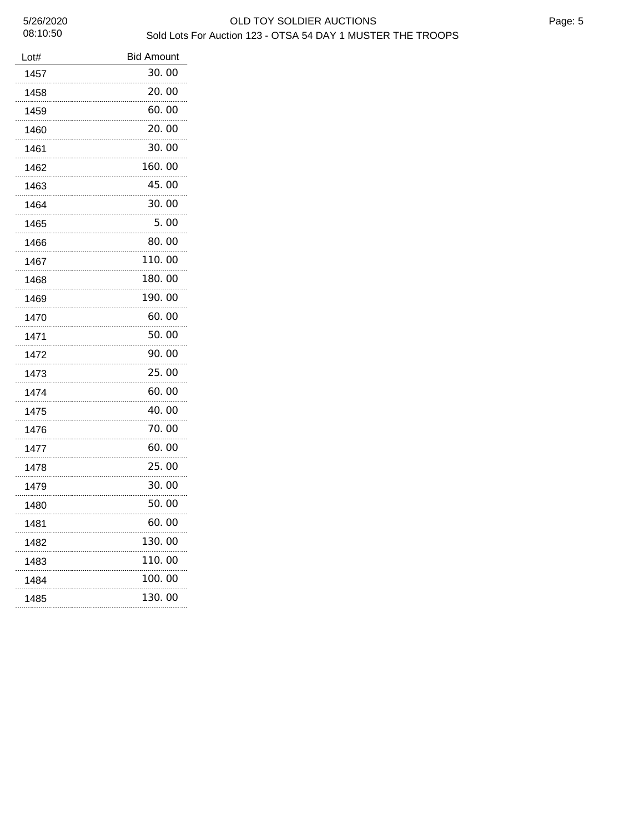| Lot#      | <b>Bid Amount</b> |
|-----------|-------------------|
| 1457      | 30.00             |
| 1458      | 20.00             |
| 1459      | 60.00             |
| 1460      | 20.00             |
| 1461      | 30.00             |
| 1462      | 160.00            |
| 1463      | 45.00             |
| 1464      | 30.00             |
| 1465      | 5.00              |
| 1466      | 80.00             |
| 1467      | 110.00            |
| 1468      | 180.00            |
| 1469      | 190.00            |
| 1470      | 60.00             |
| 1471      | 50.00             |
| 1472      | 90.00             |
| 1473      | 25.00             |
| 1474      | 60.00             |
| 1475      | 40.00             |
| 1476      | 70.00             |
| 1477      | 60.00             |
| 1478      | 25.00             |
| 1479      | 30.00             |
| 1480      | 50.00             |
| 1481      | 60.00             |
| 1482<br>. | 130.00            |
| 1483<br>. | 110.00            |
| 1484      | 100. 00           |
| 1485      | 130.00            |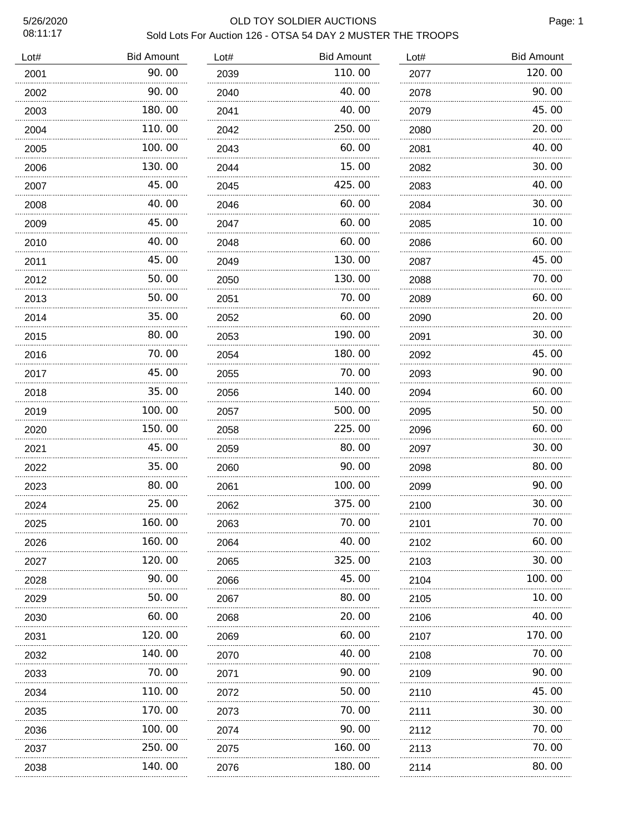# 5/26/2020 OLD TOY SOLDIER AUCTIONS Sold Lots For Auction 126 - OTSA 54 DAY 2 MUSTER THE TROOPS

| Lot# | <b>Bid Amount</b> | Lot# | <b>Bid Amount</b> | Lot# | <b>Bid Amount</b> |
|------|-------------------|------|-------------------|------|-------------------|
| 2001 | 90.00             | 2039 | 110.00            | 2077 | 120.00            |
| 2002 | 90.00             | 2040 | 40.00             | 2078 | 90.00             |
| 2003 | 180.00            | 2041 | 40.00             | 2079 | 45.00             |
| 2004 | 110.00            | 2042 | 250.00            | 2080 | 20.00             |
| 2005 | 100.00            | 2043 | 60.00             | 2081 | 40.00             |
| 2006 | 130.00            | 2044 | 15.00             | 2082 | 30.00             |
| 2007 | 45.00             | 2045 | 425.00            | 2083 | 40.00             |
| 2008 | 40.00             | 2046 | 60.00             | 2084 | 30.00             |
| 2009 | 45.00             | 2047 | 60.00             | 2085 | 10.00             |
| 2010 | 40.00             | 2048 | 60.00             | 2086 | 60.00             |
| 2011 | 45.00<br>.        | 2049 | 130.00            | 2087 | 45.00             |
| 2012 | 50.00             | 2050 | 130.00            | 2088 | 70.00             |
| 2013 | 50.00             | 2051 | 70.00             | 2089 | 60.00             |
| 2014 | 35.00             | 2052 | 60.00             | 2090 | 20.00             |
| 2015 | 80.00<br>.        | 2053 | 190.00            | 2091 | 30.00             |
| 2016 | 70.00             | 2054 | 180.00            | 2092 | 45.00             |
| 2017 | 45.00             | 2055 | 70.00             | 2093 | 90.00             |
| 2018 | 35.00             | 2056 | 140.00            | 2094 | 60.00             |
| 2019 | 100.00            | 2057 | 500.00            | 2095 | 50.00             |
| 2020 | 150.00            | 2058 | 225.00            | 2096 | 60.00             |
| 2021 | 45.00             | 2059 | 80.00             | 2097 | 30.00             |
| 2022 | 35.00             | 2060 | 90.00             | 2098 | 80.00             |
| 2023 | 80.00             | 2061 | 100.00            | 2099 | 90.00             |
| 2024 | 25.00             | 2062 | 375.00            | 2100 | 30.00             |
| 2025 | 160.00            | 2063 | 70.00             | 2101 | 70.00             |
| 2026 | 160. 00           | 2064 | 40.00             | 2102 | 60. 00            |
| 2027 | 120.00            | 2065 | 325.00            | 2103 | 30.00             |
| 2028 | 90. 00            | 2066 | 45.00             | 2104 | 100. 00           |
| 2029 | 50.00             | 2067 | 80. 00            | 2105 | 10.00             |
| 2030 | 60.00             | 2068 | 20. 00            | 2106 | 40.00             |
| 2031 | 120.00            | 2069 | 60. 00            | 2107 | 170.00            |
| 2032 | 140.00            | 2070 | 40.00             | 2108 | 70.00             |
| 2033 | 70.00             | 2071 | 90. OO            | 2109 | 90.00             |
| 2034 | 110.00            | 2072 | 50.00             | 2110 | 45. OO            |
| 2035 | 170.00            | 2073 | 70. 00            | 2111 | 30. 00            |
| 2036 | 100.00            | 2074 | 90. OO            | 2112 | 70.00             |
| 2037 | 250.00            | 2075 | 160.00            | 2113 | 70.00             |
| 2038 | 140.00            | 2076 | 180.00            | 2114 | 80.00             |
|      |                   |      |                   |      |                   |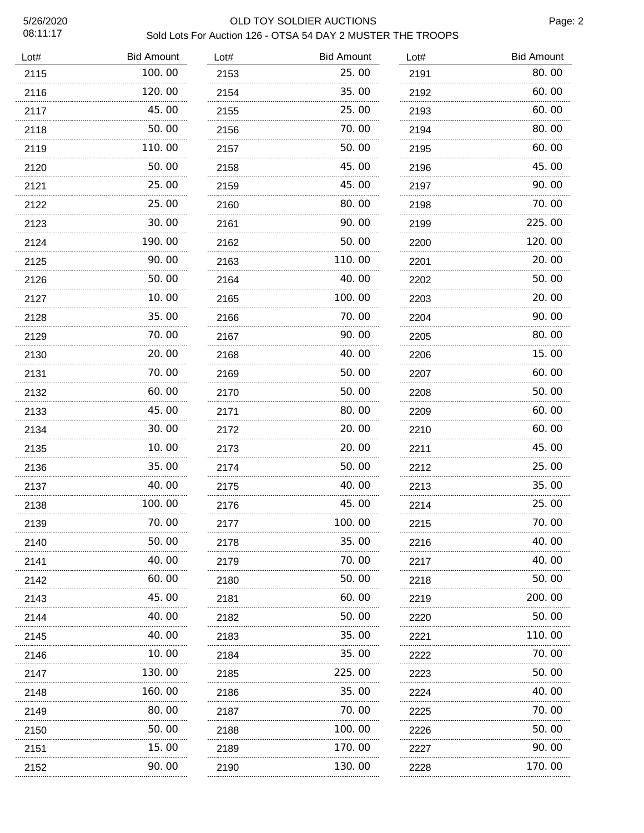## 5/26/2020 OLD TOY SOLDIER AUCTIONS Sold Lots For Auction 126 - OTSA 54 DAY 2 MUSTER THE TROOPS

| Lot# | <b>Bid Amount</b> | Lot# | <b>Bid Amount</b> | Lot#      | <b>Bid Amount</b> |
|------|-------------------|------|-------------------|-----------|-------------------|
| 2115 | 100.00            | 2153 | 25.00             | 2191      | 80.00             |
| 2116 | 120.00            | 2154 | 35.00             | 2192      | 60.00             |
| 2117 | 45.00             | 2155 | 25.00             | 2193      | 60.00             |
| 2118 | 50.00             | 2156 | 70.00             | 2194      | 80.00             |
| 2119 | 110.00            | 2157 | 50.00             | 2195      | 60.00             |
| 2120 | 50.00             | 2158 | 45.00             | 2196      | 45.00             |
| 2121 | 25.00             | 2159 | 45.00             | 2197      | 90.00             |
| 2122 | 25.00             | 2160 | 80.00             | 2198      | 70.00             |
| 2123 | 30.00             | 2161 | 90.00             | 2199      | 225.00            |
| 2124 | 190.00            | 2162 | 50.00             | 2200      | 120.00            |
| 2125 | 90.00             | 2163 | 110.00            | 2201      | 20.00             |
| 2126 | 50.00             | 2164 | 40.00             | 2202      | 50.00             |
| 2127 | 10.00             | 2165 | 100.00            | 2203      | 20.00             |
| 2128 | 35.00             | 2166 | 70.00             | 2204      | 90.00             |
| 2129 | 70.00             | 2167 | 90.00             | 2205      | 80.00             |
| 2130 | 20.00             | 2168 | 40.00             | 2206      | 15.00             |
| 2131 | 70.00             | 2169 | 50.00             | 2207      | 60.00             |
| 2132 | 60.00             | 2170 | 50.00             | 2208      | 50.00             |
| 2133 | 45.00             | 2171 | 80.00             | 2209      | 60.00             |
| 2134 | 30.00             | 2172 | 20.00             | 2210      | 60.00             |
| 2135 | 10.00             | 2173 | 20.00             | 2211<br>. | 45.00             |
| 2136 | 35.00             | 2174 | 50.00             | 2212      | 25.00             |
| 2137 | 40.00             | 2175 | 40.00             | 2213      | 35.00             |
| 2138 | 100.00            | 2176 | 45.00             | 2214      | 25.00             |
| 2139 | 70.00             | 2177 | 100. 00           | 2215      | 70.00             |
| 2140 | 50.00             | 2178 | 35.00             | 2216      | 40.00             |
| 2141 | 40. OO            | 2179 | 70.00             | 2217      | 40.00             |
| 2142 | 60.00             | 2180 | 50.00             | 2218      | 50.00             |
| 2143 | 45. OO            | 2181 | 60. 00            | 2219      | 200. 00           |
| 2144 | 40.00             | 2182 | 50.00             | 2220      | 50.00             |
| 2145 | 40. OO            | 2183 | 35.00             | 2221      | 110. 00           |
| 2146 | 10.00             | 2184 | 35.00             | 2222      | 70.00             |
| 2147 | 130.00<br>.       | 2185 | 225.00            | 2223      | 50.00             |
| 2148 | 160.00            | 2186 | 35.00             | 2224      | 40.00             |
| 2149 | 80.00             | 2187 | 70.00             | 2225      | 70.00             |
| 2150 | 50.00<br>.        | 2188 | 100.00<br>.       | 2226      | 50.00             |
| 2151 | 15.00<br>.        | 2189 | 170.00<br>.       | 2227      | 90.00             |
| 2152 | 90.00             | 2190 | 130.00            | 2228      | 170.00            |
|      |                   |      |                   |           |                   |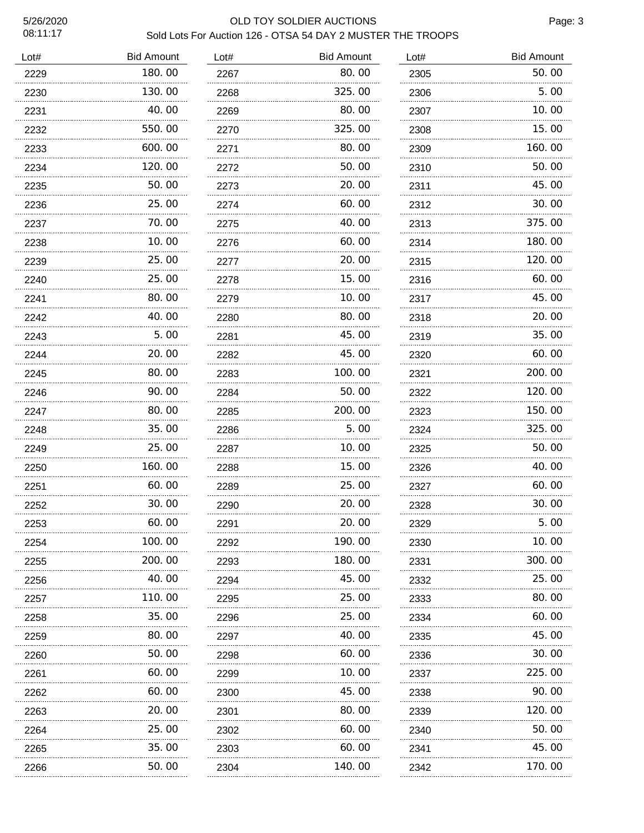### 5/26/2020 OLD TOY SOLDIER AUCTIONS Sold Lots For Auction 126 - OTSA 54 DAY 2 MUSTER THE TROOPS

| Lot# | <b>Bid Amount</b> | Lot#      | <b>Bid Amount</b> | Lot# | <b>Bid Amount</b> |
|------|-------------------|-----------|-------------------|------|-------------------|
| 2229 | 180.00            | 2267      | 80.00             | 2305 | 50.00             |
| 2230 | 130.00            | 2268      | 325.00            | 2306 | 5.00              |
| 2231 | 40.00             | 2269      | 80.00             | 2307 | 10.00             |
| 2232 | 550.00            | 2270      | 325.00            | 2308 | 15.00             |
| 2233 | 600.00            | 2271      | 80.00             | 2309 | 160. 00           |
| 2234 | 120.00            | 2272<br>. | 50.00             | 2310 | 50.00             |
| 2235 | 50.00             | 2273      | 20.00             | 2311 | 45.00             |
| 2236 | 25.00             | 2274      | 60. 00            | 2312 | 30. 00            |
| 2237 | 70.00             | 2275      | 40. 00            | 2313 | 375.00            |
| 2238 | 10. 00            | 2276      | 60. 00            | 2314 | 180.00            |
| 2239 | 25.00             | 2277      | 20. 00            | 2315 | 120.00            |
| 2240 | 25.00             | 2278      | 15.00             | 2316 | 60.00             |
| 2241 | 80.00             | 2279      | 10.00             | 2317 | 45.00             |
| 2242 | 40.00             | 2280      | 80.00             | 2318 | 20.00             |
| 2243 | 5.00              | 2281      | 45.00             | 2319 | 35.00             |
| 2244 | 20.00             | 2282      | 45.00             | 2320 | 60.00             |
| 2245 | 80.00             | 2283      | 100. 00           | 2321 | 200.00            |
| 2246 | 90.00             | 2284      | 50.00             | 2322 | 120.00            |
| 2247 | 80.00             | 2285      | 200.00            | 2323 | 150.00            |
| 2248 | 35.00             | 2286      | 5.00              | 2324 | 325.00            |
| 2249 | 25.00<br>.        | 2287      | 10.00<br>.        | 2325 | 50.00             |
| 2250 | 160. 00           | 2288      | 15.00             | 2326 | 40. 00            |
| 2251 | 60.00             | 2289      | 25.00             | 2327 | 60.00             |
| 2252 | 30.00             | 2290      | 20.00             | 2328 | 30.00             |
| 2253 | 60.00             | 2291      | 20.00             | 2329 | 5.00              |
| 2254 | 100.00            | 2292      | 190.00            | 2330 | 10.00             |
| 2255 | 200.00            | 2293      | 180.00            | 2331 | 300.00            |
| 2256 | 40.00             | 2294      | 45.00             | 2332 | 25.00             |
| 2257 | 110.00            | 2295      | 25.00             | 2333 | 80.00             |
| 2258 | 35.00             | 2296      | 25.00             | 2334 | 60.00             |
| 2259 | 80.00             | 2297      | 40.00             | 2335 | 45.00             |
| 2260 | 50.00             | 2298      | 60.00             | 2336 | 30.00             |
| 2261 | 60.00             | 2299      | 10.00             | 2337 | 225.00            |
| 2262 | 60.00             | 2300      | 45.00             | 2338 | 90.00             |
| 2263 | 20.00             | 2301      | 80.00             | 2339 | 120.00            |
| 2264 | 25.00             | 2302      | 60. 00            | 2340 | 50. 00            |
| 2265 | 35.00             | 2303      | 60. OO            | 2341 | 45.00             |
| 2266 | 50. 00            | 2304      | 140. 00           | 2342 | 170. 00           |
|      |                   |           |                   |      |                   |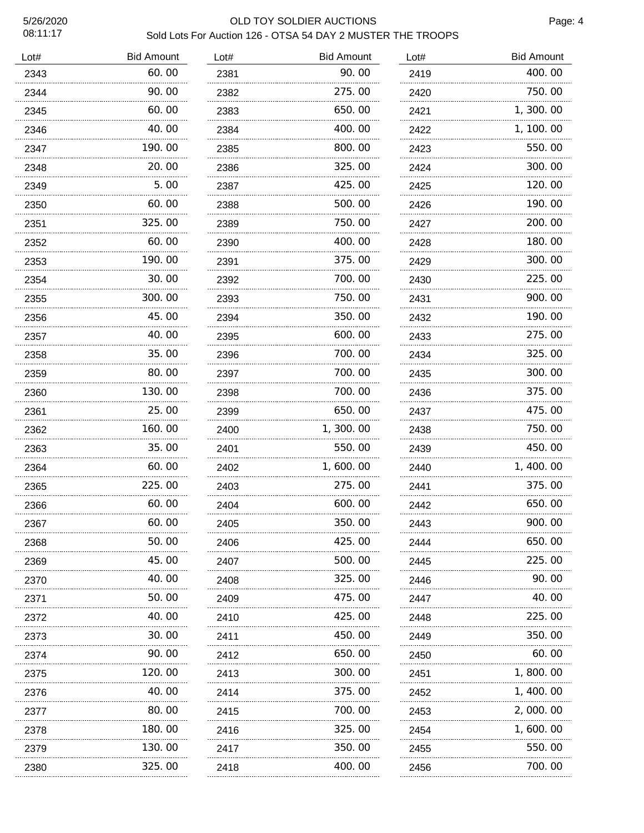# 5/26/2020 OLD TOY SOLDIER AUCTIONS Sold Lots For Auction 126 - OTSA 54 DAY 2 MUSTER THE TROOPS

| Lot# | <b>Bid Amount</b> | Lot# | <b>Bid Amount</b> | Lot# | <b>Bid Amount</b> |
|------|-------------------|------|-------------------|------|-------------------|
| 2343 | 60.00             | 2381 | 90.00             | 2419 | 400.00            |
| 2344 | 90.00             | 2382 | 275.00            | 2420 | 750.00            |
| 2345 | 60.00             | 2383 | 650.00            | 2421 | 1, 300. 00        |
| 2346 | 40.00             | 2384 | 400.00            | 2422 | 1, 100. 00        |
| 2347 | 190.00            | 2385 | 800.00            | 2423 | 550.00            |
| 2348 | 20, 00            | 2386 | 325.00            | 2424 | 300. 00           |
| 2349 | 5.00              | 2387 | 425.00            | 2425 | 120.00            |
| 2350 | 60.00             | 2388 | 500.00            | 2426 | 190.00            |
| 2351 | 325.00            | 2389 | 750.00            | 2427 | 200.00            |
| 2352 | 60.00             | 2390 | 400.00            | 2428 | 180.00            |
| 2353 | 190.00            | 2391 | 375.00            | 2429 | 300.00            |
| 2354 | 30.00             | 2392 | 700.00            | 2430 | 225.00            |
| 2355 | 300.00            | 2393 | 750.00            | 2431 | 900.00            |
| 2356 | 45.00             | 2394 | 350.00            | 2432 | 190.00            |
| 2357 | 40.00             | 2395 | 600.00            | 2433 | 275.00            |
| 2358 | 35.00             | 2396 | 700.00            | 2434 | 325.00            |
| 2359 | 80.00             | 2397 | 700.00            | 2435 | 300.00            |
| 2360 | 130.00            | 2398 | 700.00            | 2436 | 375.00            |
| 2361 | 25.00<br>.        | 2399 | 650.00            | 2437 | 475.00            |
| 2362 | 160.00            | 2400 | 1,300.00          | 2438 | 750.00            |
| 2363 | 35.00             | 2401 | 550.00            | 2439 | 450.00            |
| 2364 | 60.00             | 2402 | 1,600.00          | 2440 | 1,400.00          |
| 2365 | 225.00            | 2403 | 275.00            | 2441 | 375.00            |
| 2366 | 60.00             | 2404 | 600.00            | 2442 | 650.00            |
| 2367 | 60.00             | 2405 | 350.00            | 2443 | 900.00            |
| 2368 | 50. 00            | 2406 | 425.00            | 2444 | 650.00            |
| 2369 | 45.00             | 2407 | 500.00            | 2445 | 225.00            |
| 2370 | 40. 00            | 2408 | 325.00            | 2446 | 90.00             |
| 2371 | 50.00             | 2409 | 475.00            | 2447 | 40.00             |
| 2372 | 40. 00            | 2410 | 425.00            | 2448 | 225.00            |
| 2373 | 30.00             | 2411 | 450.00            | 2449 | 350.00            |
| 2374 | 90.00             | 2412 | 650.00            | 2450 | 60.00             |
| 2375 | 120.00            | 2413 | 300.00            | 2451 | 1,800.00          |
| 2376 | 40. OO            | 2414 | 375.00            | 2452 | 1, 400. 00        |
| 2377 | 80.00             | 2415 | 700.00            | 2453 | 2, 000. 00        |
| 2378 | 180.00            | 2416 | 325.00            | 2454 | 1, 600. 00        |
| 2379 | 130.00            | 2417 | 350.00            | 2455 | 550.00            |
| 2380 | 325.00            | 2418 | 400.00            | 2456 | 700.00            |
|      |                   |      |                   |      |                   |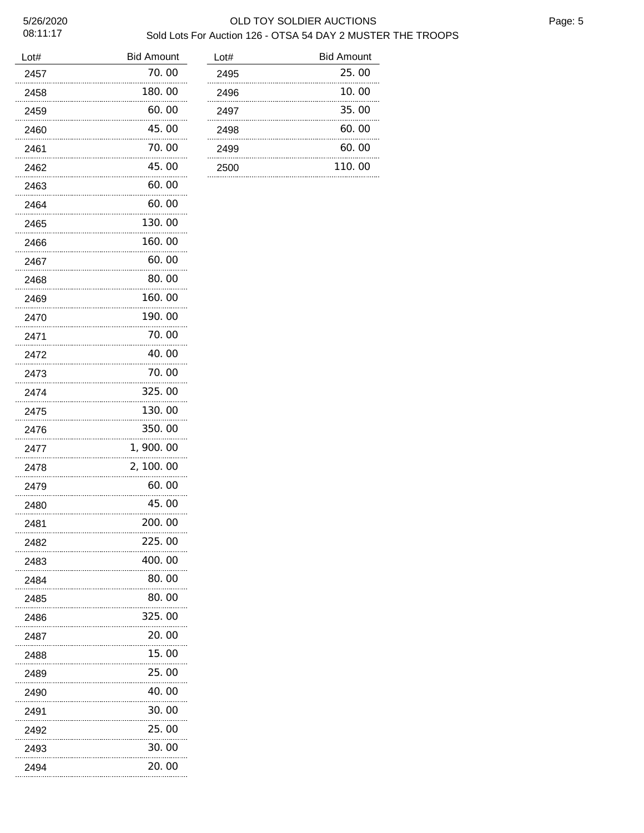## 5/26/2020 OLD TOY SOLDIER AUCTIONS Sold Lots For Auction 126 - OTSA 54 DAY 2 MUSTER THE TROOPS

| Lot#      | <b>Bid Amount</b> |
|-----------|-------------------|
| 2457      | 70.00             |
| 2458      | 180.00            |
| 2459      | 60.00             |
| 2460      | 45.00             |
| 2461      | 70.00             |
| 2462      | 45.00             |
| 2463      | 60.00             |
| 2464      | 60.00             |
| 2465      | 130.00            |
| 2466      | 160.00            |
| 2467      | 60.00             |
| 2468      | 80.00             |
| 2469      | 160.00            |
| 2470      | 190.00            |
| 2471      | 70.00             |
| 2472      | 40.00             |
| 2473      | 70.00             |
| 2474      | 325.00            |
| 2475      | 130.00            |
| 2476      | 350.00            |
| 2477      | 1, 900. 00        |
| 2478      | 2, 100. 00        |
| 2479      | 60. 00            |
| 2480      | 45.00             |
| 2481      | 200. 00           |
| 2482<br>. | 225.00            |
| 2483<br>. | 400.00            |
| 2484<br>. | 80.00             |
| 2485<br>. | 80.00             |
| 2486      | 325.00            |
| 2487<br>. | 20.00             |
| 2488      | 15.00             |
| 2489<br>. | 25.00             |
| 2490<br>. | 40.00             |
| 2491      | 30.00             |
| 2492      | 25.00             |
| 2493      | 30.00             |
| 2494      | 20.00             |

| Lot# | <b>Bid Amount</b> |
|------|-------------------|
| 2495 | 25.00             |
| 2496 | 10.00             |
| 2497 | 35.00             |
| 2498 | 60.00             |
| 2499 | 60.00             |
| 2500 | 110.00            |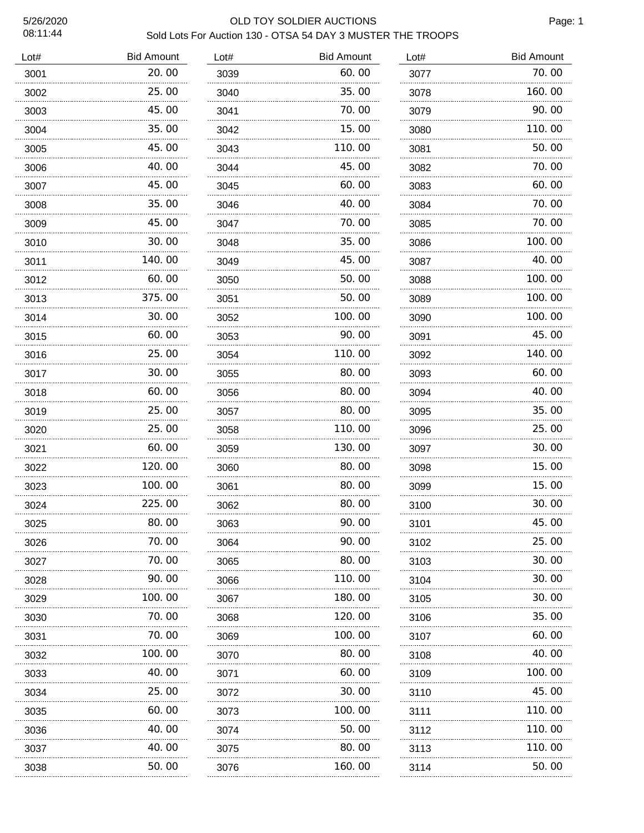# 5/26/2020 OLD TOY SOLDIER AUCTIONS Sold Lots For Auction 130 - OTSA 54 DAY 3 MUSTER THE TROOPS

| Lot# | <b>Bid Amount</b> | Lot# | <b>Bid Amount</b> | Lot# | <b>Bid Amount</b> |
|------|-------------------|------|-------------------|------|-------------------|
| 3001 | 20.00             | 3039 | 60.00             | 3077 | 70.00             |
| 3002 | 25.00             | 3040 | 35.00             | 3078 | 160.00            |
| 3003 | 45.00             | 3041 | 70.00             | 3079 | 90.00             |
| 3004 | 35.00             | 3042 | 15.00             | 3080 | 110.00            |
| 3005 | 45.00             | 3043 | 110.00            | 3081 | 50.00             |
| 3006 | 40.00             | 3044 | 45.00             | 3082 | 70.00             |
| 3007 | 45.00             | 3045 | 60.00             | 3083 | 60.00             |
| 3008 | 35.00             | 3046 | 40.00             | 3084 | 70.00             |
| 3009 | 45.00             | 3047 | 70.00             | 3085 | 70.00             |
| 3010 | 30.00             | 3048 | 35.00             | 3086 | 100.00            |
| 3011 | 140.00            | 3049 | 45.00             | 3087 | 40.00             |
| 3012 | 60.00             | 3050 | 50.00             | 3088 | 100. 00           |
| 3013 | 375.00            | 3051 | 50.00             | 3089 | 100.00            |
| 3014 | 30.00             | 3052 | 100.00            | 3090 | 100.00            |
| 3015 | 60.00             | 3053 | 90.00             | 3091 | 45.00             |
| 3016 | 25.00             | 3054 | 110.00            | 3092 | 140.00            |
| 3017 | 30.00             | 3055 | 80.00             | 3093 | 60.00             |
| 3018 | 60.00             | 3056 | 80.00             | 3094 | 40.00             |
| 3019 | 25.00             | 3057 | 80.00             | 3095 | 35.00             |
| 3020 | 25.00             | 3058 | 110.00            | 3096 | 25.00             |
| 3021 | 60.00             | 3059 | 130.00            | 3097 | 30.00             |
| 3022 | 120.00            | 3060 | 80.00             | 3098 | 15.00             |
| 3023 | 100.00            | 3061 | 80.00             | 3099 | 15.00             |
| 3024 | 225.00            | 3062 | 80.00             | 3100 | 30.00             |
| 3025 | 80.00             | 3063 | 90.00             | 3101 | 45.00             |
| 3026 | 70.00             | 3064 | 90.00             | 3102 | 25.00             |
| 3027 | .<br>70.00        | 3065 | 80.00             | 3103 | 30.00             |
| 3028 | 90.00             | 3066 | 110.00            | 3104 | 30.00             |
| 3029 | 100.00            | 3067 | 180.00            | 3105 | 30.00             |
| 3030 | 70.00             | 3068 | 120.00            | 3106 | 35.00             |
| 3031 | 70.00             | 3069 | 100.00            | 3107 | 60.00             |
| 3032 | 100.00            | 3070 | 80.00             | 3108 | 40.00             |
| 3033 | 40.00             | 3071 | 60.00             | 3109 | 100.00            |
| 3034 | 25.00             | 3072 | 30.00             | 3110 | 45.00             |
| 3035 | 60.00             | 3073 | 100.00            | 3111 | 110.00            |
| 3036 | 40.00             | 3074 | 50.00             | 3112 | 110.00            |
| 3037 | 40.00             | 3075 | 80.00             | 3113 | 110.00            |
| 3038 | 50.00             | 3076 | 160.00            | 3114 | 50.00             |
| .    |                   | .    |                   | .    |                   |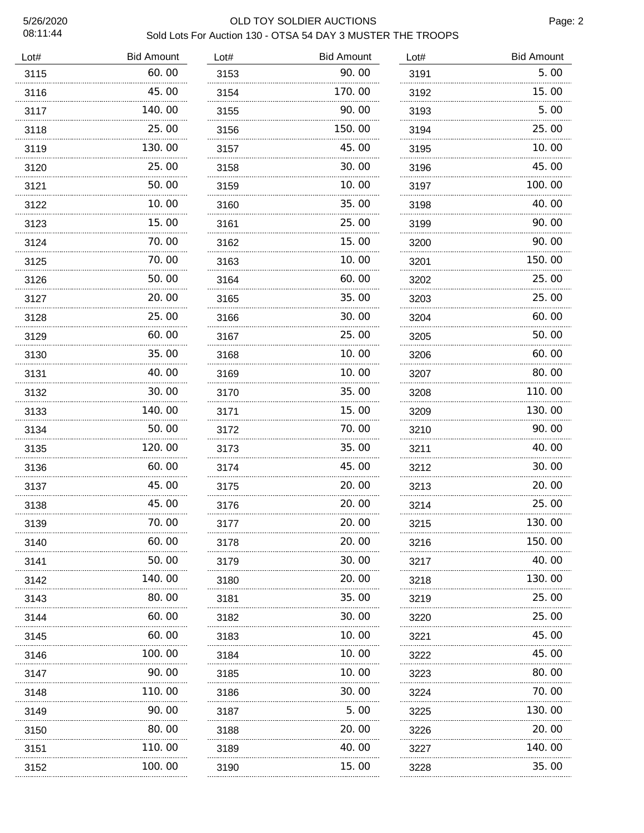#### 5/26/2020 OLD TOY SOLDIER AUCTIONS Sold Lots For Auction 130 - OTSA 54 DAY 3 MUSTER THE TROOPS

| Lot# | <b>Bid Amount</b> | Lot# | <b>Bid Amount</b> | Lot# | <b>Bid Amount</b> |
|------|-------------------|------|-------------------|------|-------------------|
| 3115 | 60.00             | 3153 | 90.00             | 3191 | 5.00              |
| 3116 | 45.00             | 3154 | 170. 00           | 3192 | 15.00             |
| 3117 | 140.00            | 3155 | 90. 00            | 3193 | 5.00              |
| 3118 | 25.00             | 3156 | 150. 00           | 3194 | 25.00             |
| 3119 | 130.00            | 3157 | 45.00             | 3195 | 10.00             |
| 3120 | 25.00             | 3158 | 30.00             | 3196 | 45.00             |
| 3121 | 50.00             | 3159 | 10.00             | 3197 | 100.00            |
| 3122 | 10.00             | 3160 | 35.00             | 3198 | 40. 00            |
| 3123 | 15.00             | 3161 | 25.00             | 3199 | 90.00             |
| 3124 | 70.00             | 3162 | 15.00             | 3200 | 90.00             |
| 3125 | 70.00             | 3163 | 10.00             | 3201 | 150.00            |
| 3126 | 50.00             | 3164 | 60.00             | 3202 | 25.00             |
| 3127 | 20.00             | 3165 | 35.00             | 3203 | 25.00             |
| 3128 | 25. 00            | 3166 | 30. OO            | 3204 | 60.00             |
| 3129 | 60.00             | 3167 | 25.00             | 3205 | 50.00             |
| 3130 | 35.00             | 3168 | 10. 00            | 3206 | 60.00             |
| 3131 | 40.00             | 3169 | 10.00             | 3207 | 80.00             |
| 3132 | 30. 00            | 3170 | 35.00             | 3208 | 110.00            |
| 3133 | 140.00            | 3171 | 15.00             | 3209 | 130.00            |
| 3134 | 50.00             | 3172 | 70.00             | 3210 | 90.00             |
| 3135 | 120.00            | 3173 | 35.00             | 3211 | 40.00             |
| 3136 | 60.00             | 3174 | 45.00             | 3212 | 30.00             |
| 3137 | 45.00             | 3175 | 20.00             | 3213 | 20.00             |
| 3138 | 45.00             | 3176 | 20.00             | 3214 | 25.00             |
| 3139 | 70.00             | 3177 | 20.00             | 3215 | 130.00            |
| 3140 | 60.00             | 3178 | 20.00             | 3216 | 150.00            |
| 3141 | 50.00             | 3179 | 30.00             | 3217 | 40.00             |
| 3142 | 140.00            | 3180 | 20.00             | 3218 | 130.00            |
| 3143 | 80.00             | 3181 | 35.00             | 3219 | 25.00             |
| 3144 | 60.00             | 3182 | 30.00             | 3220 | 25.00             |
| 3145 | 60. 00            | 3183 | 10. 00            | 3221 | 45.00             |
| 3146 | 100. 00           | 3184 | 10. 00            | 3222 | 45.00             |
| 3147 | 90. 00            | 3185 | 10. 00            | 3223 | 80.00             |
| 3148 | 110. 00           | 3186 | 30. OO            | 3224 | 70.00             |
| 3149 | 90. 00            | 3187 | 5.00              | 3225 | 130. 00           |
| 3150 | 80.00             | 3188 | 20. 00            | 3226 | 20.00             |
| 3151 | 110. 00           | 3189 | 40.00             | 3227 | 140.00            |
| 3152 | 100.00            | 3190 | 15.00             | 3228 | 35.00             |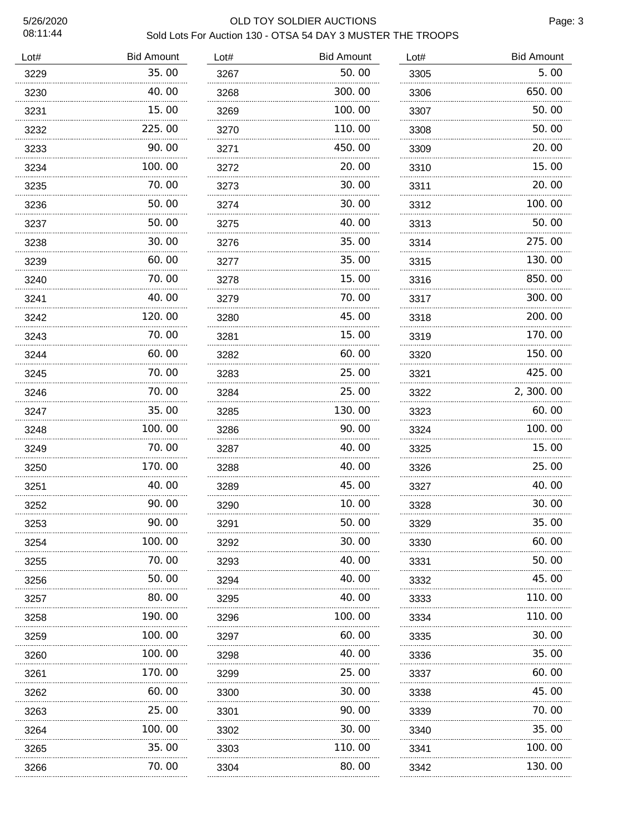#### 5/26/2020 OLD TOY SOLDIER AUCTIONS Sold Lots For Auction 130 - OTSA 54 DAY 3 MUSTER THE TROOPS

| Lot# | <b>Bid Amount</b> | Lot# | <b>Bid Amount</b> | Lot#     | <b>Bid Amount</b> |
|------|-------------------|------|-------------------|----------|-------------------|
| 3229 | 35.00             | 3267 | 50.00             | 3305     | 5.00              |
| 3230 | 40. 00            | 3268 | 300.00            | 3306     | 650.00            |
| 3231 | 15.00             | 3269 | 100. 00           | 3307     | 50.00             |
| 3232 | 225.00            | 3270 | 110. 00           | 3308     | 50. 00            |
| 3233 | 90.00             | 3271 | 450.00            | 3309     | 20.00             |
| 3234 | 100.00            | 3272 | 20.00             | 3310     | 15.00             |
| 3235 | 70.00             | 3273 | 30.00             | 3311     | 20.00             |
| 3236 | 50.00             | 3274 | 30.00             | 3312     | 100.00            |
| 3237 | 50.00             | 3275 | 40.00             | 3313     | 50.00             |
| 3238 | 30. 00            | 3276 | 35.00             | 3314     | 275.00            |
| 3239 | 60.00             | 3277 | 35.00             | 3315     | 130.00            |
| 3240 | 70.00             | 3278 | 15. 00            | 3316     | 850.00            |
| 3241 | 40.00             | 3279 | 70. 00            | 3317     | 300.00            |
| 3242 | 120.00            | 3280 | 45.00             | 3318     | 200, 00           |
| 3243 | 70.00             | 3281 | 15.00             | 3319     | 170.00            |
| 3244 | 60.00             | 3282 | 60. 00            | 3320     | 150.00            |
| 3245 | 70.00             | 3283 | 25.00             | 3321     | 425.00            |
| 3246 | 70.00             | 3284 | 25.00             | 3322     | 2,300.00          |
| 3247 | 35.00             | 3285 | 130. 00           | 3323     | 60.00             |
| 3248 | 100.00            | 3286 | 90.00             | 3324     | 100.00            |
| 3249 | 70.00             | 3287 | 40.00             | 3325     | 15.00             |
| 3250 | 170.00            | 3288 | 40. 00            | 3326     | 25.00             |
| 3251 | 40.00             | 3289 | 45.00             | 3327     | 40.00             |
| 3252 | 90.00             | 3290 | 10.00             | 3328     | 30.00             |
| 3253 | 90.00             | 3291 | 50.00             | 3329     | 35.00             |
| 3254 | 100.00            | 3292 | 30.00             | 3330     | 60.00             |
| 3255 | 70.00             | 3293 | 40.00             | 3331     | 50.00             |
| 3256 | 50.00             | 3294 | 40.00             | 3332     | 45.00             |
| 3257 | 80.00             | 3295 | 40.00             | 3333     | 110.00            |
| 3258 | 190.00            | 3296 | 100.00            | 3334     | 110.00            |
| 3259 | 100.00            | 3297 | 60.00             | 3335     | 30.00             |
| 3260 | 100.00            | 3298 | 40.00             | 3336     | 35.00             |
| 3261 | 170.00            | 3299 | 25.00             | 3337     | 60.00             |
| 3262 | 60.00             | 3300 | 30.00             | 3338     | 45.00             |
| 3263 | 25.00             | 3301 | 90.00             | 3339     | 70.00             |
| 3264 | 100. 00           | 3302 | 30.00             | 3340     | 35.00             |
| 3265 | 35.00             | 3303 | 110.00            | 3341     | 100.00            |
| 3266 | 70. 00            | 3304 | 80.00             | 3342<br> | 130.00            |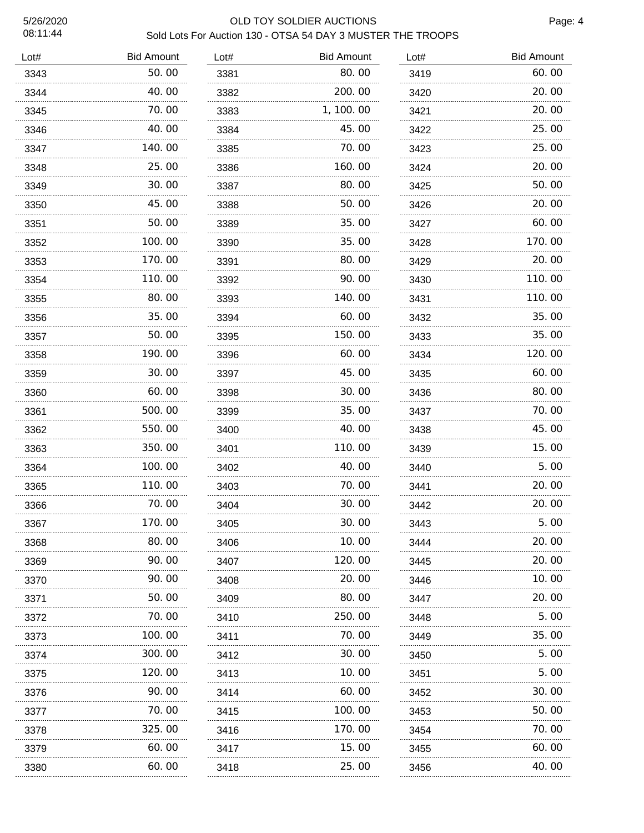### 5/26/2020 OLD TOY SOLDIER AUCTIONS Sold Lots For Auction 130 - OTSA 54 DAY 3 MUSTER THE TROOPS

| Lot# | <b>Bid Amount</b> | Lot# | <b>Bid Amount</b> | Lot# | <b>Bid Amount</b> |
|------|-------------------|------|-------------------|------|-------------------|
| 3343 | 50.00             | 3381 | 80.00             | 3419 | 60.00             |
| 3344 | 40.00             | 3382 | 200.00            | 3420 | 20.00             |
| 3345 | 70.00<br>.        | 3383 | 1, 100.00         | 3421 | 20.00             |
| 3346 | 40.00             | 3384 | 45.00             | 3422 | 25.00             |
| 3347 | 140.00            | 3385 | 70.00             | 3423 | 25.00             |
| 3348 | 25.00             | 3386 | 160.00            | 3424 | 20.00             |
| 3349 | 30.00             | 3387 | 80.00             | 3425 | 50.00             |
| 3350 | 45.00             | 3388 | 50.00             | 3426 | 20.00             |
| 3351 | 50.00             | 3389 | 35.00             | 3427 | 60.00             |
| 3352 | 100.00            | 3390 | 35.00             | 3428 | 170.00            |
| 3353 | 170.00            | 3391 | 80.00             | 3429 | 20.00             |
| 3354 | 110.00            | 3392 | 90.00             | 3430 | 110.00            |
| 3355 | 80.00             | 3393 | 140.00            | 3431 | 110.00            |
| 3356 | 35.00             | 3394 | 60.00             | 3432 | 35.00             |
| 3357 | 50.00             | 3395 | 150.00            | 3433 | 35.00             |
| 3358 | 190.00            | 3396 | 60.00             | 3434 | 120.00            |
| 3359 | 30.00             | 3397 | 45.00             | 3435 | 60.00             |
| 3360 | 60.00             | 3398 | 30.00             | 3436 | 80.00             |
| 3361 | 500.00            | 3399 | 35.00             | 3437 | 70.00             |
| 3362 | 550.00            | 3400 | 40.00             | 3438 | 45.00             |
| 3363 | 350.00            | 3401 | 110.00            | 3439 | 15.00             |
| 3364 | 100.00            | 3402 | 40.00             | 3440 | 5.00              |
| 3365 | 110.00            | 3403 | 70.00             | 3441 | 20.00             |
| 3366 | 70.00             | 3404 | 30.00             | 3442 | 20.00             |
| 3367 | 170.00            | 3405 | 30.00             | 3443 | 5.00              |
| 3368 | 80.00             | 3406 | 10. 00            | 3444 | 20.00             |
| 3369 | 90. 00            | 3407 | 120. 00           | 3445 | 20, 00            |
| 3370 | 90.00             | 3408 | 20.00             | 3446 | 10.00             |
| 3371 | 50.00             | 3409 | 80.00             | 3447 | 20.00             |
| 3372 | 70.00             | 3410 | 250.00            | 3448 | 5.00              |
| 3373 | 100.00            | 3411 | 70.00             | 3449 | 35.00             |
| 3374 | 300.00            | 3412 | 30.00             | 3450 | 5.00              |
| 3375 | 120.00            | 3413 | 10.00             | 3451 | 5.00              |
| 3376 | 90.00             | 3414 | 60.00             | 3452 | 30.00             |
| 3377 | 70.00             | 3415 | 100.00            | 3453 | 50.00             |
| 3378 | .<br>325.00       | 3416 | .<br>170. 00      | 3454 | 70.00             |
| 3379 | 60.00             | 3417 | 15.00             | 3455 | 60.00             |
| 3380 | 60.00             | 3418 | 25.00             | 3456 | 40.00             |
|      |                   |      |                   |      |                   |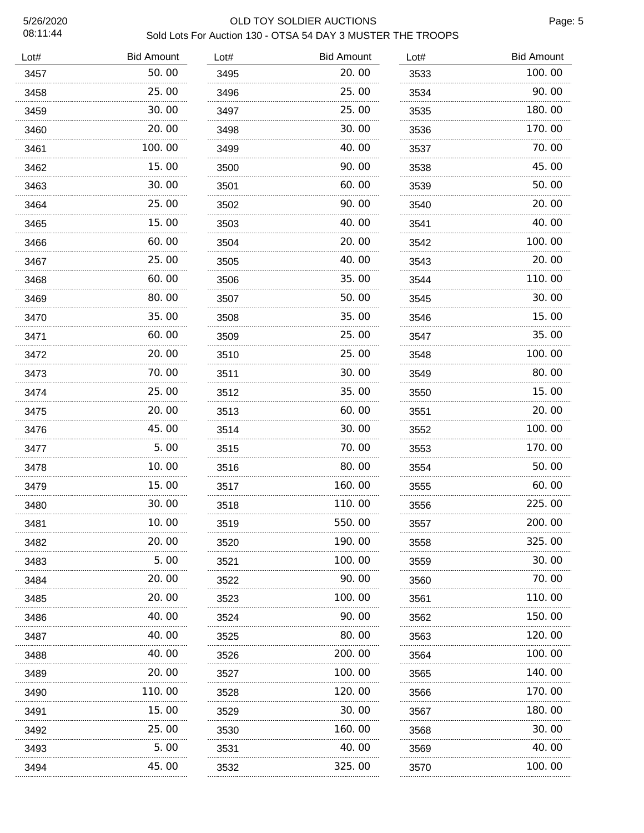## 5/26/2020 OLD TOY SOLDIER AUCTIONS Sold Lots For Auction 130 - OTSA 54 DAY 3 MUSTER THE TROOPS

| Lot# | <b>Bid Amount</b> | Lot# | <b>Bid Amount</b> | Lot# | <b>Bid Amount</b> |
|------|-------------------|------|-------------------|------|-------------------|
| 3457 | 50.00             | 3495 | 20.00             | 3533 | 100.00            |
| 3458 | 25.00             | 3496 | 25.00             | 3534 | 90. 00            |
| 3459 | 30.00             | 3497 | 25.00             | 3535 | 180.00            |
| 3460 | 20. 00            | 3498 | 30.00             | 3536 | 170.00            |
| 3461 | 100.00            | 3499 | 40.00             | 3537 | 70.00             |
| 3462 | 15.00             | 3500 | 90.00             | 3538 | 45.00             |
| 3463 | 30.00             | 3501 | 60.00             | 3539 | 50.00             |
| 3464 | 25.00             | 3502 | 90.00             | 3540 | 20.00             |
| 3465 | 15.00             | 3503 | 40.00             | 3541 | 40.00             |
| 3466 | 60.00             | 3504 | 20.00             | 3542 | 100.00            |
| 3467 | 25.00             | 3505 | 40.00             | 3543 | 20.00             |
| 3468 | 60.00             | 3506 | 35.00             | 3544 | 110.00            |
| 3469 | 80.00             | 3507 | 50.00             | 3545 | 30.00             |
| 3470 | 35.00             | 3508 | 35.00             | 3546 | 15.00             |
| 3471 | 60.00             | 3509 | 25.00             | 3547 | 35.00             |
| 3472 | 20.00             | 3510 | 25.00             | 3548 | 100.00            |
| 3473 | 70.00             | 3511 | 30.00             | 3549 | 80.00             |
| 3474 | 25.00             | 3512 | 35.00             | 3550 | 15.00             |
| 3475 | 20.00             | 3513 | 60.00             | 3551 | 20.00             |
| 3476 | 45.00             | 3514 | 30.00             | 3552 | 100.00            |
| 3477 | 5.00              | 3515 | 70.00             | 3553 | 170.00            |
| 3478 | 10.00             | 3516 | 80.00             | 3554 | 50.00             |
| 3479 | 15.00             | 3517 | 160.00            | 3555 | 60.00             |
| 3480 | 30.00             | 3518 | 110.00            | 3556 | 225.00            |
| 3481 | 10.00             | 3519 | 550.00            | 3557 | 200.00            |
| 3482 | 20. 00            | 3520 | 190.00            | 3558 | 325.00            |
| 3483 | 5.00              | 3521 | 100.00            | 3559 | 30.00             |
| 3484 | 20. 00            | 3522 | 90.00             | 3560 | 70.00             |
| 3485 | 20. 00            | 3523 | 100. 00           | 3561 | 110.00            |
| 3486 | 40. 00            | 3524 | 90.00             | 3562 | 150.00            |
| 3487 | 40. OO            | 3525 | 80.00             | 3563 | 120.00            |
| 3488 | 40. OO            | 3526 | 200. 00           | 3564 | 100.00            |
| 3489 | 20.00             | 3527 | 100.00            | 3565 | 140.00            |
| 3490 | 110. 00           | 3528 | 120.00            | 3566 | 170. 00           |
| 3491 | 15.00             | 3529 | 30.00             | 3567 | 180.00            |
| 3492 | 25. 00            | 3530 | 160.00            | 3568 | 30.00             |
| 3493 | 5.00              | 3531 | 40.00             | 3569 | 40.00             |
| 3494 | 45.00             | 3532 | 325.00            | 3570 | 100.00            |
|      |                   |      |                   |      |                   |